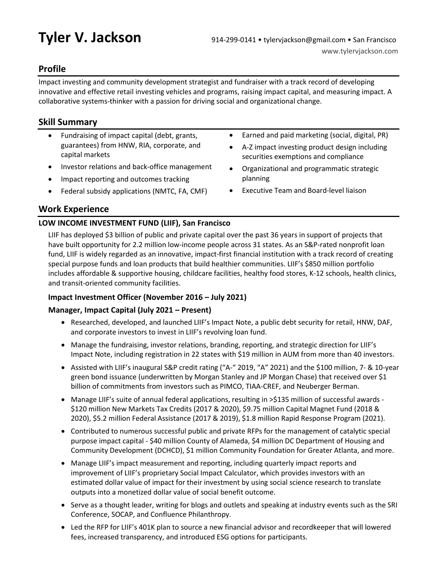# **Profile**

Impact investing and community development strategist and fundraiser with a track record of developing innovative and effective retail investing vehicles and programs, raising impact capital, and measuring impact. A collaborative systems-thinker with a passion for driving social and organizational change.

# **Skill Summary**

- Fundraising of impact capital (debt, grants, guarantees) from HNW, RIA, corporate, and capital markets
- Investor relations and back-office management
- Impact reporting and outcomes tracking
- Federal subsidy applications (NMTC, FA, CMF)
- Earned and paid marketing (social, digital, PR)
- A-Z impact investing product design including securities exemptions and compliance
- Organizational and programmatic strategic planning
- Executive Team and Board-level liaison

# **Work Experience**

# **LOW INCOME INVESTMENT FUND (LIIF), San Francisco**

LIIF has deployed \$3 billion of public and private capital over the past 36 years in support of projects that have built opportunity for 2.2 million low-income people across 31 states. As an S&P-rated nonprofit loan fund, LIIF is widely regarded as an innovative, impact-first financial institution with a track record of creating special purpose funds and loan products that build healthier communities. LIIF's \$850 million portfolio includes affordable & supportive housing, childcare facilities, healthy food stores, K-12 schools, health clinics, and transit-oriented community facilities.

# **Impact Investment Officer (November 2016 – July 2021)**

# **Manager, Impact Capital (July 2021 – Present)**

- Researched, developed, and launched LIIF's Impact Note, a public debt security for retail, HNW, DAF, and corporate investors to invest in LIIF's revolving loan fund.
- Manage the fundraising, investor relations, branding, reporting, and strategic direction for LIIF's Impact Note, including registration in 22 states with \$19 million in AUM from more than 40 investors.
- Assisted with LIIF's inaugural S&P credit rating ("A-" 2019, "A" 2021) and the \$100 million, 7- & 10-year green bond issuance (underwritten by Morgan Stanley and JP Morgan Chase) that received over \$1 billion of commitments from investors such as PIMCO, TIAA-CREF, and Neuberger Berman.
- Manage LIIF's suite of annual federal applications, resulting in >\$135 million of successful awards -\$120 million New Markets Tax Credits (2017 & 2020), \$9.75 million Capital Magnet Fund (2018 & 2020), \$5.2 million Federal Assistance (2017 & 2019), \$1.8 million Rapid Response Program (2021).
- Contributed to numerous successful public and private RFPs for the management of catalytic special purpose impact capital - \$40 million County of Alameda, \$4 million DC Department of Housing and Community Development (DCHCD), \$1 million Community Foundation for Greater Atlanta, and more.
- Manage LIIF's impact measurement and reporting, including quarterly impact reports and improvement of LIIF's proprietary Social Impact Calculator, which provides investors with an estimated dollar value of impact for their investment by using social science research to translate outputs into a monetized dollar value of social benefit outcome.
- Serve as a thought leader, writing for blogs and outlets and speaking at industry events such as the SRI Conference, SOCAP, and Confluence Philanthropy.
- Led the RFP for LIIF's 401K plan to source a new financial advisor and recordkeeper that will lowered fees, increased transparency, and introduced ESG options for participants.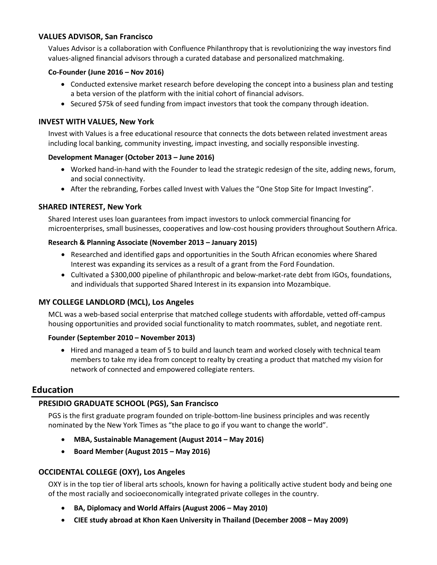#### **VALUES ADVISOR, San Francisco**

Values Advisor is a collaboration with Confluence Philanthropy that is revolutionizing the way investors find values-aligned financial advisors through a curated database and personalized matchmaking.

#### **Co-Founder (June 2016 – Nov 2016)**

- Conducted extensive market research before developing the concept into a business plan and testing a beta version of the platform with the initial cohort of financial advisors.
- Secured \$75k of seed funding from impact investors that took the company through ideation.

## **INVEST WITH VALUES, New York**

Invest with Values is a free educational resource that connects the dots between related investment areas including local banking, community investing, impact investing, and socially responsible investing.

#### **Development Manager (October 2013 – June 2016)**

- Worked hand-in-hand with the Founder to lead the strategic redesign of the site, adding news, forum, and social connectivity.
- After the rebranding, Forbes called Invest with Values the "One Stop Site for Impact Investing".

# **SHARED INTEREST, New York**

Shared Interest uses loan guarantees from impact investors to unlock commercial financing for microenterprises, small businesses, cooperatives and low-cost housing providers throughout Southern Africa.

## **Research & Planning Associate (November 2013 – January 2015)**

- Researched and identified gaps and opportunities in the South African economies where Shared Interest was expanding its services as a result of a grant from the Ford Foundation.
- Cultivated a \$300,000 pipeline of philanthropic and below-market-rate debt from IGOs, foundations, and individuals that supported Shared Interest in its expansion into Mozambique.

# **MY COLLEGE LANDLORD (MCL), Los Angeles**

MCL was a web-based social enterprise that matched college students with affordable, vetted off-campus housing opportunities and provided social functionality to match roommates, sublet, and negotiate rent.

#### **Founder (September 2010 – November 2013)**

• Hired and managed a team of 5 to build and launch team and worked closely with technical team members to take my idea from concept to realty by creating a product that matched my vision for network of connected and empowered collegiate renters.

# **Education**

# **PRESIDIO GRADUATE SCHOOL (PGS), San Francisco**

PGS is the first graduate program founded on triple-bottom-line business principles and was recently nominated by the New York Times as "the place to go if you want to change the world".

- **MBA, Sustainable Management (August 2014 – May 2016)**
- **Board Member (August 2015 – May 2016)**

# **OCCIDENTAL COLLEGE (OXY), Los Angeles**

OXY is in the top tier of liberal arts schools, known for having a politically active student body and being one of the most racially and socioeconomically integrated private colleges in the country.

- **BA, Diplomacy and World Affairs (August 2006 – May 2010)**
- **CIEE study abroad at Khon Kaen University in Thailand (December 2008 – May 2009)**